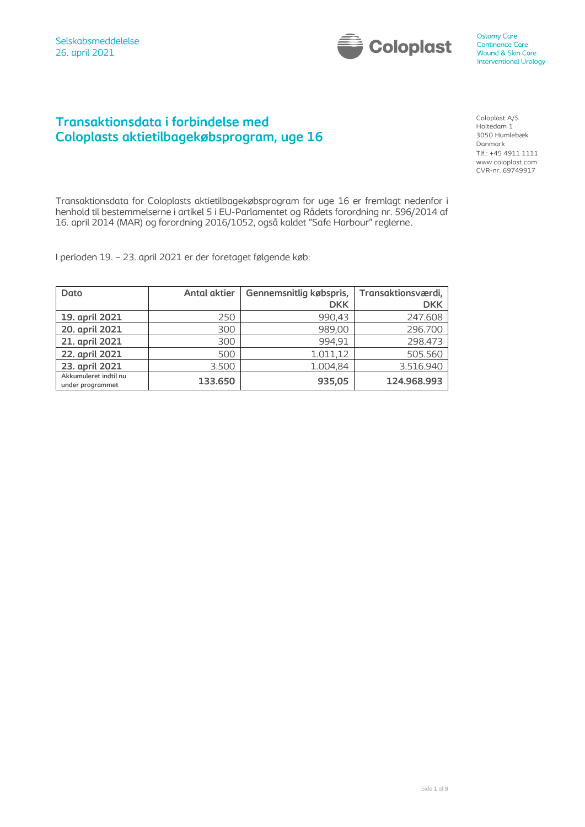

# **Transaktionsdata i forbindelse med Coloplasts aktietilbagekøbsprogram, uge 16**

Coloplast A/S Holtedam 1 3050 Humlebæk Danmark Tlf.: +45 4911 1111 www.coloplast.com CVR-nr. 69749917

Transaktionsdata for Coloplasts aktietilbagekøbsprogram for uge 16 er fremlagt nedenfor i henhold til bestemmelserne i artikel 5 i EU-Parlamentet og Rådets forordning nr. 596/2014 af 16. april 2014 (MAR) og forordning 2016/1052, også kaldet "Safe Harbour" reglerne.

I perioden 19. – 23. april 2021 er der foretaget følgende køb:

| Dato                                      | <b>Antal aktier</b> | Gennemsnitlig købspris, | Transaktionsværdi, |
|-------------------------------------------|---------------------|-------------------------|--------------------|
|                                           |                     | <b>DKK</b>              | <b>DKK</b>         |
| 19. april 2021                            | 250                 | 990,43                  | 247.608            |
| 20. april 2021                            | 300                 | 989,00                  | 296.700            |
| 21. april 2021                            | 300                 | 994,91                  | 298.473            |
| 22. april 2021                            | 500                 | 1.011,12                | 505.560            |
| 23. april 2021                            | 3.500               | 1.004,84                | 3.516.940          |
| Akkumuleret indtil nu<br>under programmet | 133.650             | 935,05                  | 124.968.993        |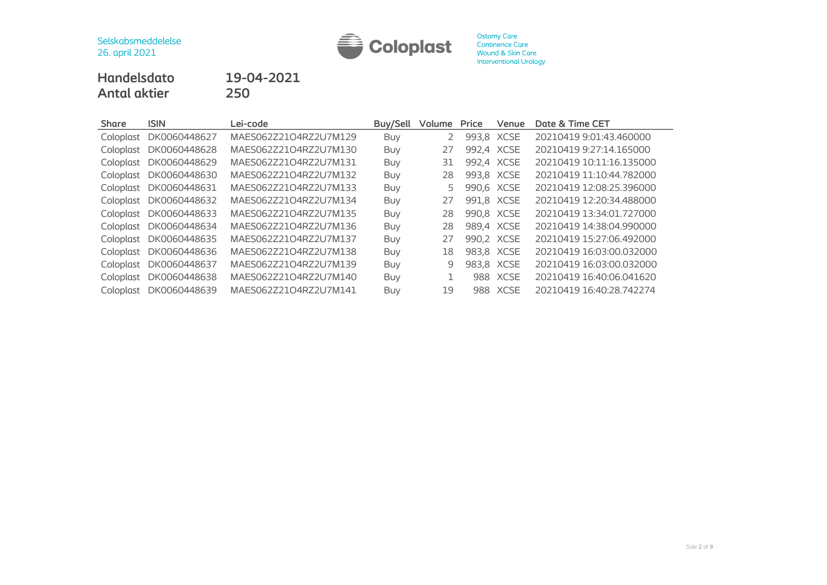Selskabsmeddelelse 26. april 2021



Ostomy Care<br>Continence Care<br>Wound & Skin Care Interventional Urology

**Handelsdato 19-04-2021 Antal aktier 250**

| <b>Share</b> | <b>ISIN</b>  | Lei-code              | Buy/Sell   | Volume | Price      | Venue       | Date & Time CET          |
|--------------|--------------|-----------------------|------------|--------|------------|-------------|--------------------------|
| Coloplast    | DK0060448627 | MAES062Z21O4RZ2U7M129 | Buy        | 2      | 993,8 XCSE |             | 20210419 9:01:43.460000  |
| Coloplast    | DK0060448628 | MAES062Z21O4RZ2U7M130 | <b>Buy</b> | 27     | 992,4 XCSE |             | 20210419 9:27:14.165000  |
| Coloplast    | DK0060448629 | MAES062Z21O4RZ2U7M131 | <b>Buy</b> | 31     | 992,4 XCSE |             | 20210419 10:11:16.135000 |
| Coloplast    | DK0060448630 | MAES062Z21O4RZ2U7M132 | Buy        | 28     | 993,8 XCSE |             | 20210419 11:10:44.782000 |
| Coloplast    | DK0060448631 | MAES062Z21O4RZ2U7M133 | <b>Buy</b> | 5      | 990,6 XCSE |             | 20210419 12:08:25.396000 |
| Coloplast    | DK0060448632 | MAES062Z21O4RZ2U7M134 | Buy        | 27     | 991,8 XCSE |             | 20210419 12:20:34.488000 |
| Coloplast    | DK0060448633 | MAES062Z21O4RZ2U7M135 | Buy        | 28     | 990,8 XCSE |             | 20210419 13:34:01.727000 |
| Coloplast    | DK0060448634 | MAES062Z21O4RZ2U7M136 | <b>Buy</b> | 28     | 989,4 XCSE |             | 20210419 14:38:04.990000 |
| Coloplast    | DK0060448635 | MAES062Z21O4RZ2U7M137 | <b>Buy</b> | 27     | 990,2 XCSE |             | 20210419 15:27:06.492000 |
| Coloplast    | DK0060448636 | MAES062Z21O4RZ2U7M138 | Buy        | 18     | 983,8 XCSE |             | 20210419 16:03:00.032000 |
| Coloplast    | DK0060448637 | MAES062Z21O4RZ2U7M139 | Buy        | 9      |            | 983,8 XCSE  | 20210419 16:03:00.032000 |
| Coloplast    | DK0060448638 | MAES062Z21O4RZ2U7M140 | <b>Buy</b> |        | 988        | <b>XCSE</b> | 20210419 16:40:06.041620 |
| Coloplast    | DK0060448639 | MAES062Z21O4RZ2U7M141 | Buy        | 19     | 988        | <b>XCSE</b> | 20210419 16:40:28.742274 |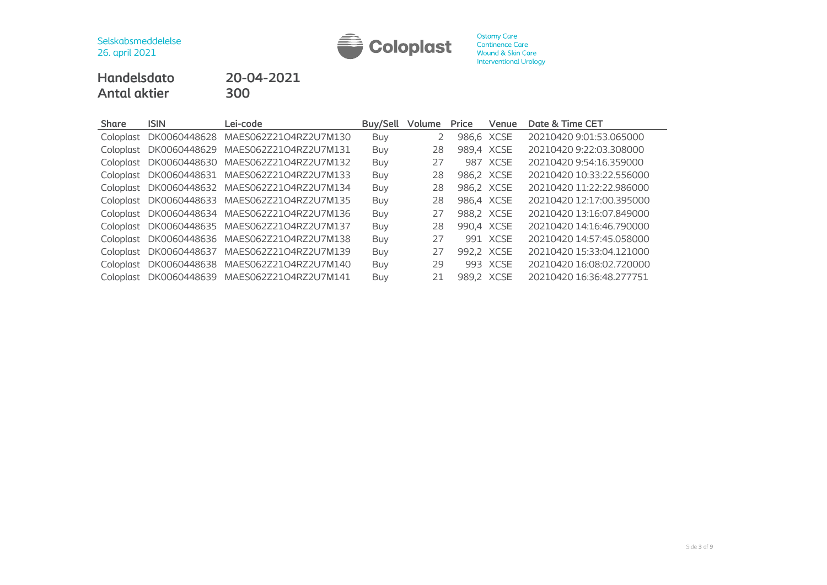

# **Handelsdato 20-04-2021 Antal aktier 300**

| Share     | <b>ISIN</b>  | Lei-code                           | Buy/Sell | Volume | Price      | Venue      | Date & Time CET          |
|-----------|--------------|------------------------------------|----------|--------|------------|------------|--------------------------|
| Coloplast | DK0060448628 | MAES062Z21O4RZ2U7M130              | Buy      |        | 986,6 XCSE |            | 20210420 9:01:53.065000  |
| Coloplast | DK0060448629 | MAES062Z21O4RZ2U7M131              | Buy      | 28     |            | 989,4 XCSE | 20210420 9:22:03.308000  |
| Coloplast | DK0060448630 | MAES062Z21O4RZ2U7M132              | Buy      | 27     |            | 987 XCSE   | 20210420 9:54:16.359000  |
| Coloplast | DK0060448631 | MAES062Z21O4RZ2U7M133              | Buy      | 28     |            | 986.2 XCSE | 20210420 10:33:22.556000 |
| Coloplast | DK0060448632 | MAES062Z21O4RZ2U7M134              | Buy      | 28     |            | 986,2 XCSE | 20210420 11:22:22.986000 |
| Coloplast |              | DK0060448633 MAES062Z21O4RZ2U7M135 | Buy      | 28     |            | 986,4 XCSE | 20210420 12:17:00.395000 |
| Coloplast |              | DK0060448634 MAES062Z21O4RZ2U7M136 | Buy      | 27     |            | 988,2 XCSE | 20210420 13:16:07.849000 |
| Coloplast |              | DK0060448635 MAES062Z21O4RZ2U7M137 | Buy      | 28     |            | 990.4 XCSE | 20210420 14:16:46.790000 |
| Coloplast | DK0060448636 | MAES062Z21O4RZ2U7M138              | Buy      | 27     |            | 991 XCSE   | 20210420 14:57:45.058000 |
| Coloplast | DK0060448637 | MAES062Z21O4RZ2U7M139              | Buy      | 27     |            | 992,2 XCSE | 20210420 15:33:04.121000 |
| Coloplast | DK0060448638 | MAES062Z21O4RZ2U7M140              | Buy      | 29     |            | 993 XCSE   | 20210420 16:08:02.720000 |
| Coloplast | DK0060448639 | MAES062Z21O4RZ2U7M141              | Buy      | 21     | 989.2 XCSE |            | 20210420 16:36:48.277751 |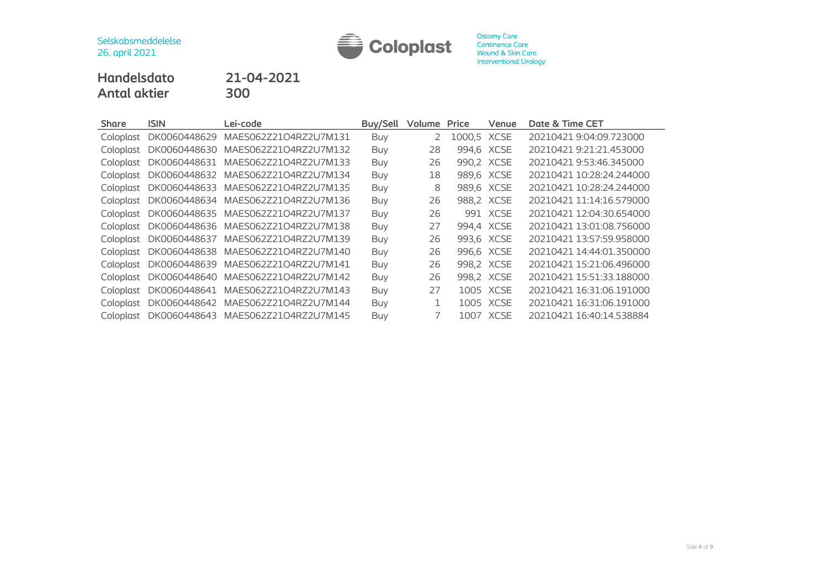

# **Handelsdato 21-04-2021 Antal aktier 300**

| <b>Share</b> | <b>ISIN</b>  | Lei-code                           | Buy/Sell   | Volume | Price       | Venue      | Date & Time CET          |
|--------------|--------------|------------------------------------|------------|--------|-------------|------------|--------------------------|
| Coloplast    | DK0060448629 | MAES062Z21O4RZ2U7M131              | <b>Buy</b> | 2      | 1000,5 XCSE |            | 20210421 9:04:09.723000  |
| Coloplast    | DK0060448630 | MAES062Z21O4RZ2U7M132              | <b>Buy</b> | 28     |             | 994,6 XCSE | 20210421 9:21:21.453000  |
| Coloplast    | DK0060448631 | MAES062Z21O4RZ2U7M133              | <b>Buy</b> | 26     | 990,2 XCSE  |            | 20210421 9:53:46.345000  |
| Coloplast    | DK0060448632 | MAES062Z21O4RZ2U7M134              | <b>Buy</b> | 18     | 989,6 XCSE  |            | 20210421 10:28:24.244000 |
| Coloplast    |              | DK0060448633 MAES062Z21O4RZ2U7M135 | <b>Buy</b> | 8      |             | 989,6 XCSE | 20210421 10:28:24.244000 |
| Coloplast    |              | DK0060448634 MAES062Z21O4RZ2U7M136 | Buy        | 26     | 988,2 XCSE  |            | 20210421 11:14:16.579000 |
| Coloplast    |              | DK0060448635 MAES062Z21O4RZ2U7M137 | Buy        | 26     |             | 991 XCSE   | 20210421 12:04:30.654000 |
| Coloplast    | DK0060448636 | MAES062Z21O4RZ2U7M138              | <b>Buy</b> | 27     |             | 994,4 XCSE | 20210421 13:01:08.756000 |
| Coloplast    | DK0060448637 | MAES062Z21O4RZ2U7M139              | Buy        | 26     | 993,6 XCSE  |            | 20210421 13:57:59.958000 |
| Coloplast    | DK0060448638 | MAES062Z21O4RZ2U7M140              | <b>Buy</b> | 26     |             | 996,6 XCSE | 20210421 14:44:01.350000 |
| Coloplast    | DK0060448639 | MAES062Z21O4RZ2U7M141              | <b>Buy</b> | 26     |             | 998,2 XCSE | 20210421 15:21:06.496000 |
| Coloplast    | DK0060448640 | MAES062Z21O4RZ2U7M142              | Buy        | 26     | 998,2 XCSE  |            | 20210421 15:51:33.188000 |
| Coloplast    | DK0060448641 | MAES062Z21O4RZ2U7M143              | <b>Buy</b> | 27     |             | 1005 XCSE  | 20210421 16:31:06.191000 |
| Coloplast    | DK0060448642 | MAES062Z21O4RZ2U7M144              | <b>Buy</b> |        |             | 1005 XCSE  | 20210421 16:31:06.191000 |
| Coloplast    | DK0060448643 | MAES062Z21O4RZ2U7M145              | Buy        |        |             | 1007 XCSE  | 20210421 16:40:14.538884 |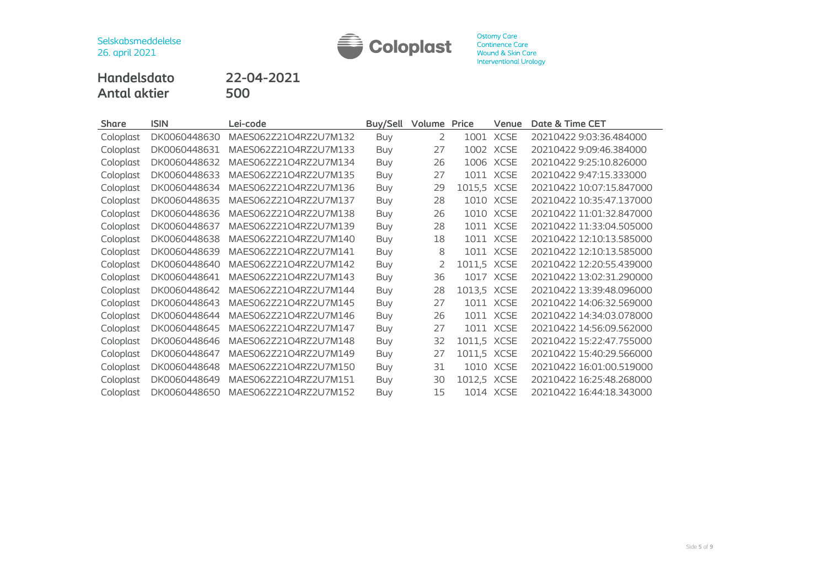

**Handelsdato 22-04-2021 Antal aktier 500**

| <b>Share</b> | <b>ISIN</b>  | Lei-code              | <b>Buy/Sell</b> | Volume         | Price       | Venue       | Date & Time CET          |
|--------------|--------------|-----------------------|-----------------|----------------|-------------|-------------|--------------------------|
| Coloplast    | DK0060448630 | MAES062Z21O4RZ2U7M132 | Buy             | 2              | 1001        | <b>XCSE</b> | 20210422 9:03:36.484000  |
| Coloplast    | DK0060448631 | MAES062Z21O4RZ2U7M133 | Buy             | 27             |             | 1002 XCSE   | 20210422 9:09:46.384000  |
| Coloplast    | DK0060448632 | MAES062Z21O4RZ2U7M134 | Buy             | 26             | 1006        | <b>XCSE</b> | 20210422 9:25:10.826000  |
| Coloplast    | DK0060448633 | MAES062Z21O4RZ2U7M135 | Buy             | 27             | 1011        | <b>XCSE</b> | 20210422 9:47:15.333000  |
| Coloplast    | DK0060448634 | MAES062Z21O4RZ2U7M136 | Buy             | 29             | 1015,5 XCSE |             | 20210422 10:07:15.847000 |
| Coloplast    | DK0060448635 | MAES062Z21O4RZ2U7M137 | Buy             | 28             | 1010        | <b>XCSE</b> | 20210422 10:35:47.137000 |
| Coloplast    | DK0060448636 | MAES062Z21O4RZ2U7M138 | Buy             | 26             |             | 1010 XCSE   | 20210422 11:01:32.847000 |
| Coloplast    | DK0060448637 | MAES062Z21O4RZ2U7M139 | Buy             | 28             | 1011        | <b>XCSE</b> | 20210422 11:33:04.505000 |
| Coloplast    | DK0060448638 | MAES062Z21O4RZ2U7M140 | Buy             | 18             |             | 1011 XCSE   | 20210422 12:10:13.585000 |
| Coloplast    | DK0060448639 | MAES062Z21O4RZ2U7M141 | Buy             | 8              |             | 1011 XCSE   | 20210422 12:10:13.585000 |
| Coloplast    | DK0060448640 | MAES062Z21O4RZ2U7M142 | <b>Buy</b>      | $\overline{2}$ | 1011,5      | <b>XCSE</b> | 20210422 12:20:55.439000 |
| Coloplast    | DK0060448641 | MAES062Z21O4RZ2U7M143 | Buy             | 36             |             | 1017 XCSE   | 20210422 13:02:31.290000 |
| Coloplast    | DK0060448642 | MAES062Z21O4RZ2U7M144 | Buy             | 28             | 1013,5 XCSE |             | 20210422 13:39:48.096000 |
| Coloplast    | DK0060448643 | MAES062Z21O4RZ2U7M145 | <b>Buy</b>      | 27             |             | 1011 XCSE   | 20210422 14:06:32.569000 |
| Coloplast    | DK0060448644 | MAES062Z21O4RZ2U7M146 | <b>Buy</b>      | 26             |             | 1011 XCSE   | 20210422 14:34:03.078000 |
| Coloplast    | DK0060448645 | MAES062Z21O4RZ2U7M147 | Buy             | 27             |             | 1011 XCSE   | 20210422 14:56:09.562000 |
| Coloplast    | DK0060448646 | MAES062Z21O4RZ2U7M148 | Buy             | 32             | 1011,5 XCSE |             | 20210422 15:22:47.755000 |
| Coloplast    | DK0060448647 | MAES062Z21O4RZ2U7M149 | <b>Buy</b>      | 27             | 1011,5      | <b>XCSE</b> | 20210422 15:40:29.566000 |
| Coloplast    | DK0060448648 | MAES062Z21O4RZ2U7M150 | Buy             | 31             | 1010        | <b>XCSE</b> | 20210422 16:01:00.519000 |
| Coloplast    | DK0060448649 | MAES062Z21O4RZ2U7M151 | <b>Buy</b>      | 30             | 1012,5      | <b>XCSE</b> | 20210422 16:25:48.268000 |
| Coloplast    | DK0060448650 | MAES062Z21O4RZ2U7M152 | Buy             | 15             |             | 1014 XCSE   | 20210422 16:44:18.343000 |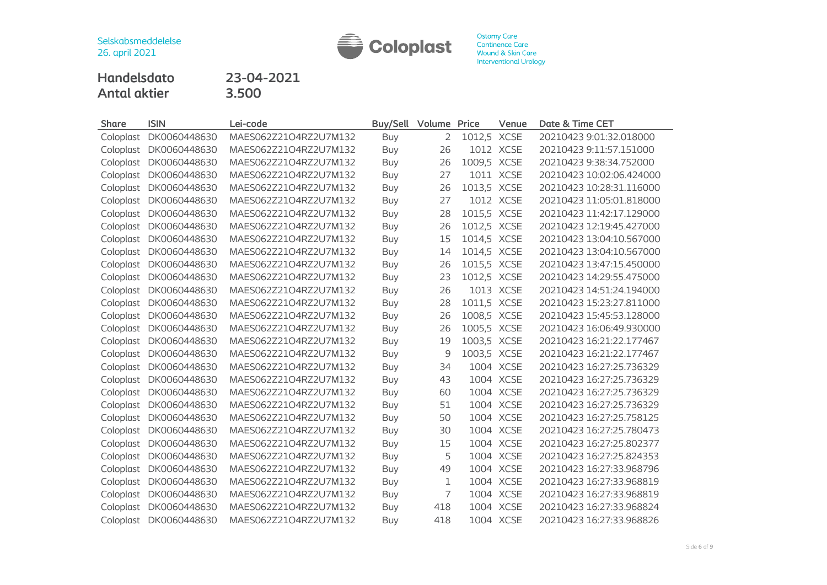

**Handelsdato 23-04-2021 Antal aktier 3.500**

| <b>Share</b> | <b>ISIN</b>  | Lei-code              | Buy/Sell   | Volume         | Price       | Venue     | Date & Time CET          |
|--------------|--------------|-----------------------|------------|----------------|-------------|-----------|--------------------------|
| Coloplast    | DK0060448630 | MAES062Z21O4RZ2U7M132 | Buy        | 2              | 1012,5 XCSE |           | 20210423 9:01:32.018000  |
| Coloplast    | DK0060448630 | MAES062Z21O4RZ2U7M132 | Buy        | 26             |             | 1012 XCSE | 20210423 9:11:57.151000  |
| Coloplast    | DK0060448630 | MAES062Z21O4RZ2U7M132 | Buy        | 26             | 1009,5 XCSE |           | 20210423 9:38:34.752000  |
| Coloplast    | DK0060448630 | MAES062Z21O4RZ2U7M132 | Buy        | 27             |             | 1011 XCSE | 20210423 10:02:06.424000 |
| Coloplast    | DK0060448630 | MAES062Z21O4RZ2U7M132 | Buy        | 26             | 1013,5 XCSE |           | 20210423 10:28:31.116000 |
| Coloplast    | DK0060448630 | MAES062Z21O4RZ2U7M132 | <b>Buy</b> | 27             |             | 1012 XCSE | 20210423 11:05:01.818000 |
| Coloplast    | DK0060448630 | MAES062Z21O4RZ2U7M132 | Buy        | 28             | 1015,5 XCSE |           | 20210423 11:42:17.129000 |
| Coloplast    | DK0060448630 | MAES062Z21O4RZ2U7M132 | <b>Buy</b> | 26             | 1012,5 XCSE |           | 20210423 12:19:45.427000 |
| Coloplast    | DK0060448630 | MAES062Z21O4RZ2U7M132 | <b>Buy</b> | 15             | 1014,5 XCSE |           | 20210423 13:04:10.567000 |
| Coloplast    | DK0060448630 | MAES062Z21O4RZ2U7M132 | Buy        | 14             | 1014,5 XCSE |           | 20210423 13:04:10.567000 |
| Coloplast    | DK0060448630 | MAES062Z21O4RZ2U7M132 | <b>Buy</b> | 26             | 1015,5 XCSE |           | 20210423 13:47:15.450000 |
| Coloplast    | DK0060448630 | MAES062Z21O4RZ2U7M132 | Buy        | 23             | 1012,5 XCSE |           | 20210423 14:29:55.475000 |
| Coloplast    | DK0060448630 | MAES062Z21O4RZ2U7M132 | Buy        | 26             |             | 1013 XCSE | 20210423 14:51:24.194000 |
| Coloplast    | DK0060448630 | MAES062Z21O4RZ2U7M132 | <b>Buy</b> | 28             | 1011,5 XCSE |           | 20210423 15:23:27.811000 |
| Coloplast    | DK0060448630 | MAES062Z21O4RZ2U7M132 | <b>Buy</b> | 26             | 1008,5 XCSE |           | 20210423 15:45:53.128000 |
| Coloplast    | DK0060448630 | MAES062Z21O4RZ2U7M132 | <b>Buy</b> | 26             | 1005,5 XCSE |           | 20210423 16:06:49.930000 |
| Coloplast    | DK0060448630 | MAES062Z21O4RZ2U7M132 | <b>Buy</b> | 19             | 1003,5 XCSE |           | 20210423 16:21:22.177467 |
| Coloplast    | DK0060448630 | MAES062Z21O4RZ2U7M132 | Buy        | 9              | 1003,5 XCSE |           | 20210423 16:21:22.177467 |
| Coloplast    | DK0060448630 | MAES062Z21O4RZ2U7M132 | <b>Buy</b> | 34             |             | 1004 XCSE | 20210423 16:27:25.736329 |
| Coloplast    | DK0060448630 | MAES062Z21O4RZ2U7M132 | <b>Buy</b> | 43             |             | 1004 XCSE | 20210423 16:27:25.736329 |
| Coloplast    | DK0060448630 | MAES062Z21O4RZ2U7M132 | Buy        | 60             |             | 1004 XCSE | 20210423 16:27:25.736329 |
| Coloplast    | DK0060448630 | MAES062Z21O4RZ2U7M132 | <b>Buy</b> | 51             |             | 1004 XCSE | 20210423 16:27:25.736329 |
| Coloplast    | DK0060448630 | MAES062Z21O4RZ2U7M132 | <b>Buy</b> | 50             |             | 1004 XCSE | 20210423 16:27:25.758125 |
| Coloplast    | DK0060448630 | MAES062Z21O4RZ2U7M132 | Buy        | 30             |             | 1004 XCSE | 20210423 16:27:25.780473 |
| Coloplast    | DK0060448630 | MAES062Z21O4RZ2U7M132 | Buy        | 15             |             | 1004 XCSE | 20210423 16:27:25.802377 |
| Coloplast    | DK0060448630 | MAES062Z21O4RZ2U7M132 | <b>Buy</b> | 5              |             | 1004 XCSE | 20210423 16:27:25.824353 |
| Coloplast    | DK0060448630 | MAES062Z21O4RZ2U7M132 | <b>Buy</b> | 49             |             | 1004 XCSE | 20210423 16:27:33.968796 |
| Coloplast    | DK0060448630 | MAES062Z21O4RZ2U7M132 | <b>Buy</b> | $\mathbf 1$    |             | 1004 XCSE | 20210423 16:27:33.968819 |
| Coloplast    | DK0060448630 | MAES062Z21O4RZ2U7M132 | <b>Buy</b> | $\overline{7}$ |             | 1004 XCSE | 20210423 16:27:33.968819 |
| Coloplast    | DK0060448630 | MAES062Z21O4RZ2U7M132 | <b>Buy</b> | 418            |             | 1004 XCSE | 20210423 16:27:33.968824 |
| Coloplast    | DK0060448630 | MAES062Z21O4RZ2U7M132 | Buy        | 418            |             | 1004 XCSE | 20210423 16:27:33.968826 |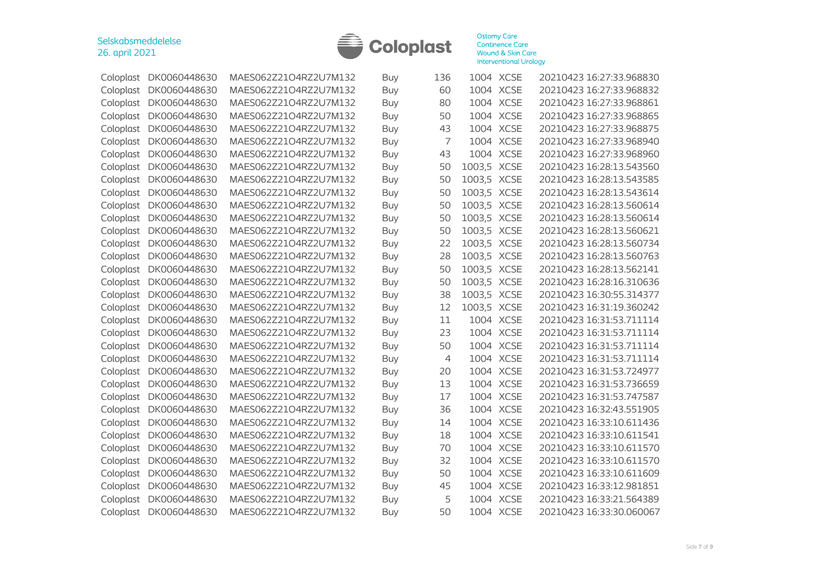

| Coloplast | DK0060448630 | MAES062Z21O4RZ2U7M132 | Buy        | 136 | 1004 XCSE   |           | 20210423 16:27:33.968830 |
|-----------|--------------|-----------------------|------------|-----|-------------|-----------|--------------------------|
| Coloplast | DK0060448630 | MAES062Z21O4RZ2U7M132 | Buy        | 60  | 1004 XCSE   |           | 20210423 16:27:33.968832 |
| Coloplast | DK0060448630 | MAES062Z21O4RZ2U7M132 | Buy        | 80  | 1004 XCSE   |           | 20210423 16:27:33.968861 |
| Coloplast | DK0060448630 | MAES062Z21O4RZ2U7M132 | Buy        | 50  |             | 1004 XCSE | 20210423 16:27:33.968865 |
| Coloplast | DK0060448630 | MAES062Z21O4RZ2U7M132 | <b>Buy</b> | 43  | 1004 XCSE   |           | 20210423 16:27:33.968875 |
| Coloplast | DK0060448630 | MAES062Z21O4RZ2U7M132 | <b>Buy</b> | 7   | 1004 XCSE   |           | 20210423 16:27:33.968940 |
| Coloplast | DK0060448630 | MAES062Z21O4RZ2U7M132 | Buy        | 43  |             | 1004 XCSE | 20210423 16:27:33.968960 |
| Coloplast | DK0060448630 | MAES062Z21O4RZ2U7M132 | Buy        | 50  | 1003,5 XCSE |           | 20210423 16:28:13.543560 |
| Coloplast | DK0060448630 | MAES062Z21O4RZ2U7M132 | Buy        | 50  | 1003,5 XCSE |           | 20210423 16:28:13.543585 |
| Coloplast | DK0060448630 | MAES062Z21O4RZ2U7M132 | Buy        | 50  | 1003,5 XCSE |           | 20210423 16:28:13.543614 |
| Coloplast | DK0060448630 | MAES062Z21O4RZ2U7M132 | Buy        | 50  | 1003,5 XCSE |           | 20210423 16:28:13.560614 |
| Coloplast | DK0060448630 | MAES062Z21O4RZ2U7M132 | Buy        | 50  | 1003,5 XCSE |           | 20210423 16:28:13.560614 |
| Coloplast | DK0060448630 | MAES062Z21O4RZ2U7M132 | <b>Buy</b> | 50  | 1003,5 XCSE |           | 20210423 16:28:13.560621 |
| Coloplast | DK0060448630 | MAES062Z21O4RZ2U7M132 | <b>Buy</b> | 22  | 1003,5 XCSE |           | 20210423 16:28:13.560734 |
| Coloplast | DK0060448630 | MAES062Z21O4RZ2U7M132 | Buy        | 28  | 1003,5 XCSE |           | 20210423 16:28:13.560763 |
| Coloplast | DK0060448630 | MAES062Z21O4RZ2U7M132 | Buy        | 50  | 1003,5 XCSE |           | 20210423 16:28:13.562141 |
| Coloplast | DK0060448630 | MAES062Z21O4RZ2U7M132 | Buy        | 50  | 1003,5 XCSE |           | 20210423 16:28:16.310636 |
| Coloplast | DK0060448630 | MAES062Z21O4RZ2U7M132 | Buy        | 38  | 1003,5 XCSE |           | 20210423 16:30:55.314377 |
| Coloplast | DK0060448630 | MAES062Z21O4RZ2U7M132 | Buy        | 12  | 1003,5 XCSE |           | 20210423 16:31:19.360242 |
| Coloplast | DK0060448630 | MAES062Z21O4RZ2U7M132 | Buy        | 11  | 1004 XCSE   |           | 20210423 16:31:53.711114 |
| Coloplast | DK0060448630 | MAES062Z21O4RZ2U7M132 | Buy        | 23  |             | 1004 XCSE | 20210423 16:31:53.711114 |
| Coloplast | DK0060448630 | MAES062Z21O4RZ2U7M132 | Buy        | 50  | 1004 XCSE   |           | 20210423 16:31:53.711114 |
| Coloplast | DK0060448630 | MAES062Z21O4RZ2U7M132 | <b>Buy</b> | 4   | 1004 XCSE   |           | 20210423 16:31:53.711114 |
| Coloplast | DK0060448630 | MAES062Z21O4RZ2U7M132 | Buy        | 20  |             | 1004 XCSE | 20210423 16:31:53.724977 |
| Coloplast | DK0060448630 | MAES062Z21O4RZ2U7M132 | Buy        | 13  | 1004 XCSE   |           | 20210423 16:31:53.736659 |
| Coloplast | DK0060448630 | MAES062Z21O4RZ2U7M132 | Buy        | 17  | 1004 XCSE   |           | 20210423 16:31:53.747587 |
| Coloplast | DK0060448630 | MAES062Z21O4RZ2U7M132 | <b>Buy</b> | 36  | 1004 XCSE   |           | 20210423 16:32:43.551905 |
| Coloplast | DK0060448630 | MAES062Z21O4RZ2U7M132 | Buy        | 14  |             | 1004 XCSE | 20210423 16:33:10.611436 |
| Coloplast | DK0060448630 | MAES062Z21O4RZ2U7M132 | Buy        | 18  | 1004 XCSE   |           | 20210423 16:33:10.611541 |
| Coloplast | DK0060448630 | MAES062Z21O4RZ2U7M132 | Buy        | 70  | 1004 XCSE   |           | 20210423 16:33:10.611570 |
| Coloplast | DK0060448630 | MAES062Z21O4RZ2U7M132 | Buy        | 32  | 1004 XCSE   |           | 20210423 16:33:10.611570 |
| Coloplast | DK0060448630 | MAES062Z21O4RZ2U7M132 | Buy        | 50  | 1004 XCSE   |           | 20210423 16:33:10.611609 |
| Coloplast | DK0060448630 | MAES062Z21O4RZ2U7M132 | <b>Buy</b> | 45  | 1004 XCSE   |           | 20210423 16:33:12.981851 |
| Coloplast | DK0060448630 | MAES062Z21O4RZ2U7M132 | Buy        | 5   | 1004 XCSE   |           | 20210423 16:33:21.564389 |
| Coloplast | DK0060448630 | MAES062Z21O4RZ2U7M132 | Buy        | 50  | 1004 XCSE   |           | 20210423 16:33:30.060067 |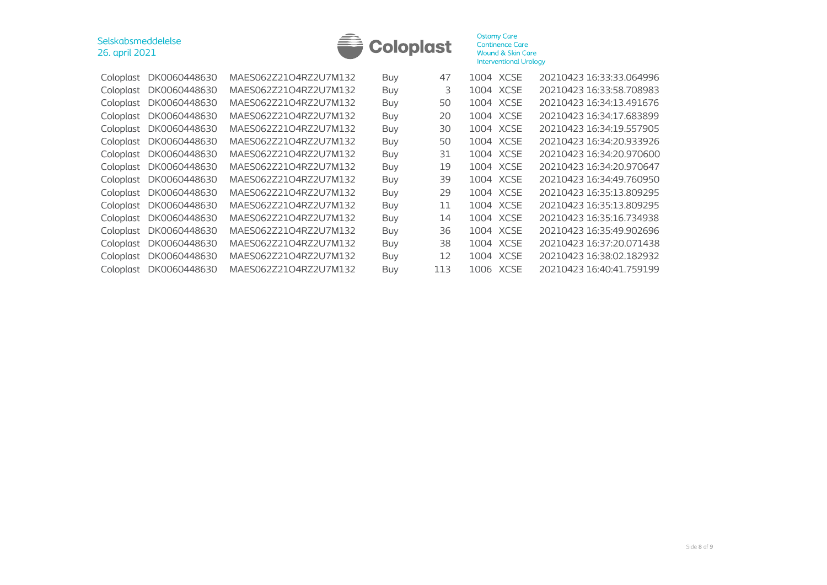## Selskabsmeddelelse 26. april 2021



Ostomy Care<br>Continence Care<br>Wound & Skin Care<br>Interventional Urology

| Coloplast | DK0060448630 | MAES062Z21O4RZ2U7M132 | Buy | 47  | 1004 XCSE | 20210423 16:33:33.064996 |
|-----------|--------------|-----------------------|-----|-----|-----------|--------------------------|
| Coloplast | DK0060448630 | MAES062Z21O4RZ2U7M132 | Buy | 3   | 1004 XCSE | 20210423 16:33:58.708983 |
| Coloplast | DK0060448630 | MAES062Z21O4RZ2U7M132 | Buy | 50  | 1004 XCSE | 20210423 16:34:13.491676 |
| Coloplast | DK0060448630 | MAES062Z21O4RZ2U7M132 | Buy | 20  | 1004 XCSE | 20210423 16:34:17.683899 |
| Coloplast | DK0060448630 | MAES062Z21O4RZ2U7M132 | Buy | 30  | 1004 XCSE | 20210423 16:34:19.557905 |
| Coloplast | DK0060448630 | MAES062Z21O4RZ2U7M132 | Buy | 50  | 1004 XCSE | 20210423 16:34:20.933926 |
| Coloplast | DK0060448630 | MAES062Z21O4RZ2U7M132 | Buy | 31  | 1004 XCSE | 20210423 16:34:20.970600 |
| Coloplast | DK0060448630 | MAES062Z21O4RZ2U7M132 | Buy | 19  | 1004 XCSE | 20210423 16:34:20.970647 |
| Coloplast | DK0060448630 | MAES062Z21O4RZ2U7M132 | Buy | 39  | 1004 XCSE | 20210423 16:34:49.760950 |
| Coloplast | DK0060448630 | MAES062Z21O4RZ2U7M132 | Buy | 29  | 1004 XCSE | 20210423 16:35:13.809295 |
| Coloplast | DK0060448630 | MAES062Z21O4RZ2U7M132 | Buy | 11  | 1004 XCSE | 20210423 16:35:13.809295 |
| Coloplast | DK0060448630 | MAES062Z21O4RZ2U7M132 | Buy | 14  | 1004 XCSE | 20210423 16:35:16.734938 |
| Coloplast | DK0060448630 | MAES062Z21O4RZ2U7M132 | Buy | 36  | 1004 XCSE | 20210423 16:35:49.902696 |
| Coloplast | DK0060448630 | MAES062Z21O4RZ2U7M132 | Buy | 38  | 1004 XCSE | 20210423 16:37:20.071438 |
| Coloplast | DK0060448630 | MAES062Z21O4RZ2U7M132 | Buy | 12  | 1004 XCSE | 20210423 16:38:02.182932 |
| Coloplast | DK0060448630 | MAES062Z21O4RZ2U7M132 | Buy | 113 | 1006 XCSE | 20210423 16:40:41.759199 |